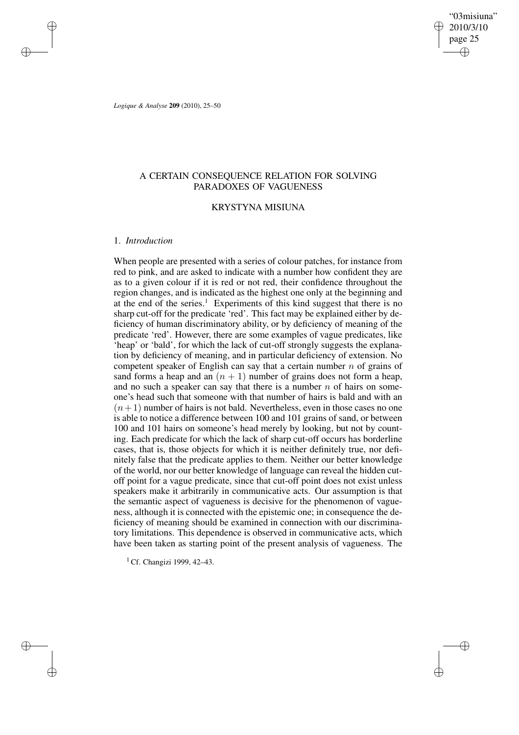"03misiuna" 2010/3/10 page 25 ✐ ✐

✐

✐

*Logique & Analyse* **209** (2010), 25–50

✐

✐

✐

✐

# A CERTAIN CONSEQUENCE RELATION FOR SOLVING PARADOXES OF VAGUENESS

## KRYSTYNA MISIUNA

## 1. *Introduction*

When people are presented with a series of colour patches, for instance from red to pink, and are asked to indicate with a number how confident they are as to a given colour if it is red or not red, their confidence throughout the region changes, and is indicated as the highest one only at the beginning and at the end of the series.<sup>1</sup> Experiments of this kind suggest that there is no sharp cut-off for the predicate 'red'. This fact may be explained either by deficiency of human discriminatory ability, or by deficiency of meaning of the predicate 'red'. However, there are some examples of vague predicates, like 'heap' or 'bald', for which the lack of cut-off strongly suggests the explanation by deficiency of meaning, and in particular deficiency of extension. No competent speaker of English can say that a certain number  $n$  of grains of sand forms a heap and an  $(n + 1)$  number of grains does not form a heap, and no such a speaker can say that there is a number  $n$  of hairs on someone's head such that someone with that number of hairs is bald and with an  $(n+1)$  number of hairs is not bald. Nevertheless, even in those cases no one is able to notice a difference between 100 and 101 grains of sand, or between 100 and 101 hairs on someone's head merely by looking, but not by counting. Each predicate for which the lack of sharp cut-off occurs has borderline cases, that is, those objects for which it is neither definitely true, nor definitely false that the predicate applies to them. Neither our better knowledge of the world, nor our better knowledge of language can reveal the hidden cutoff point for a vague predicate, since that cut-off point does not exist unless speakers make it arbitrarily in communicative acts. Our assumption is that the semantic aspect of vagueness is decisive for the phenomenon of vagueness, although it is connected with the epistemic one; in consequence the deficiency of meaning should be examined in connection with our discriminatory limitations. This dependence is observed in communicative acts, which have been taken as starting point of the present analysis of vagueness. The

<sup>1</sup> Cf. Changizi 1999, 42–43.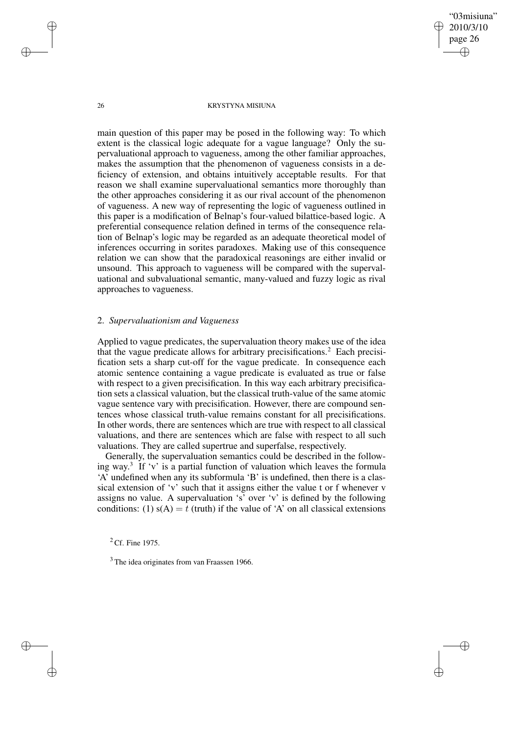"03misiuna" 2010/3/10 page 26 ✐ ✐

✐

✐

### 26 KRYSTYNA MISIUNA

main question of this paper may be posed in the following way: To which extent is the classical logic adequate for a vague language? Only the supervaluational approach to vagueness, among the other familiar approaches, makes the assumption that the phenomenon of vagueness consists in a deficiency of extension, and obtains intuitively acceptable results. For that reason we shall examine supervaluational semantics more thoroughly than the other approaches considering it as our rival account of the phenomenon of vagueness. A new way of representing the logic of vagueness outlined in this paper is a modification of Belnap's four-valued bilattice-based logic. A preferential consequence relation defined in terms of the consequence relation of Belnap's logic may be regarded as an adequate theoretical model of inferences occurring in sorites paradoxes. Making use of this consequence relation we can show that the paradoxical reasonings are either invalid or unsound. This approach to vagueness will be compared with the supervaluational and subvaluational semantic, many-valued and fuzzy logic as rival approaches to vagueness.

### 2. *Supervaluationism and Vagueness*

Applied to vague predicates, the supervaluation theory makes use of the idea that the vague predicate allows for arbitrary precisifications.<sup>2</sup> Each precisification sets a sharp cut-off for the vague predicate. In consequence each atomic sentence containing a vague predicate is evaluated as true or false with respect to a given precisification. In this way each arbitrary precisification sets a classical valuation, but the classical truth-value of the same atomic vague sentence vary with precisification. However, there are compound sentences whose classical truth-value remains constant for all precisifications. In other words, there are sentences which are true with respect to all classical valuations, and there are sentences which are false with respect to all such valuations. They are called supertrue and superfalse, respectively.

Generally, the supervaluation semantics could be described in the following way. 3 If 'v' is a partial function of valuation which leaves the formula 'A' undefined when any its subformula 'B' is undefined, then there is a classical extension of 'v' such that it assigns either the value t or f whenever v assigns no value. A supervaluation 's' over 'v' is defined by the following conditions: (1)  $s(A) = t$  (truth) if the value of 'A' on all classical extensions

 $2$  Cf. Fine 1975.

✐

✐

✐

<sup>&</sup>lt;sup>3</sup> The idea originates from van Fraassen 1966.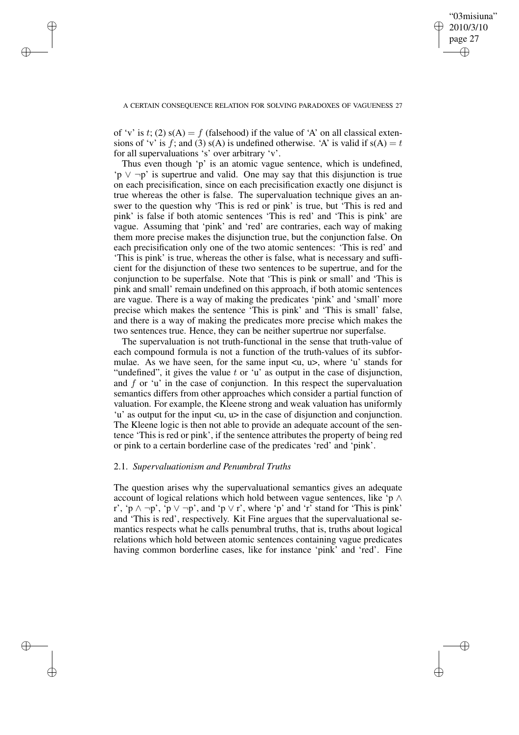✐

✐

✐

✐

✐

of 'v' is t; (2)  $s(A) = f$  (falsehood) if the value of 'A' on all classical extensions of 'v' is f; and (3)  $s(A)$  is undefined otherwise. 'A' is valid if  $s(A) = t$ for all supervaluations 's' over arbitrary 'v'.

Thus even though 'p' is an atomic vague sentence, which is undefined,  $\mathbf{p} \vee \neg \mathbf{p}'$  is supertrue and valid. One may say that this disjunction is true on each precisification, since on each precisification exactly one disjunct is true whereas the other is false. The supervaluation technique gives an answer to the question why 'This is red or pink' is true, but 'This is red and pink' is false if both atomic sentences 'This is red' and 'This is pink' are vague. Assuming that 'pink' and 'red' are contraries, each way of making them more precise makes the disjunction true, but the conjunction false. On each precisification only one of the two atomic sentences: 'This is red' and 'This is pink' is true, whereas the other is false, what is necessary and sufficient for the disjunction of these two sentences to be supertrue, and for the conjunction to be superfalse. Note that 'This is pink or small' and 'This is pink and small' remain undefined on this approach, if both atomic sentences are vague. There is a way of making the predicates 'pink' and 'small' more precise which makes the sentence 'This is pink' and 'This is small' false, and there is a way of making the predicates more precise which makes the two sentences true. Hence, they can be neither supertrue nor superfalse.

The supervaluation is not truth-functional in the sense that truth-value of each compound formula is not a function of the truth-values of its subformulae. As we have seen, for the same input  $\langle u, u \rangle$ , where 'u' stands for "undefined", it gives the value  $t$  or 'u' as output in the case of disjunction, and  $f$  or 'u' in the case of conjunction. In this respect the supervaluation semantics differs from other approaches which consider a partial function of valuation. For example, the Kleene strong and weak valuation has uniformly 'u' as output for the input <u, u> in the case of disjunction and conjunction. The Kleene logic is then not able to provide an adequate account of the sentence 'This is red or pink', if the sentence attributes the property of being red or pink to a certain borderline case of the predicates 'red' and 'pink'.

### 2.1. *Supervaluationism and Penumbral Truths*

The question arises why the supervaluational semantics gives an adequate account of logical relations which hold between vague sentences, like 'p ∧ r', 'p  $\land \neg p'$ , 'p  $\lor \neg p'$ , and 'p  $\lor$  r', where 'p' and 'r' stand for 'This is pink' and 'This is red', respectively. Kit Fine argues that the supervaluational semantics respects what he calls penumbral truths, that is, truths about logical relations which hold between atomic sentences containing vague predicates having common borderline cases, like for instance 'pink' and 'red'. Fine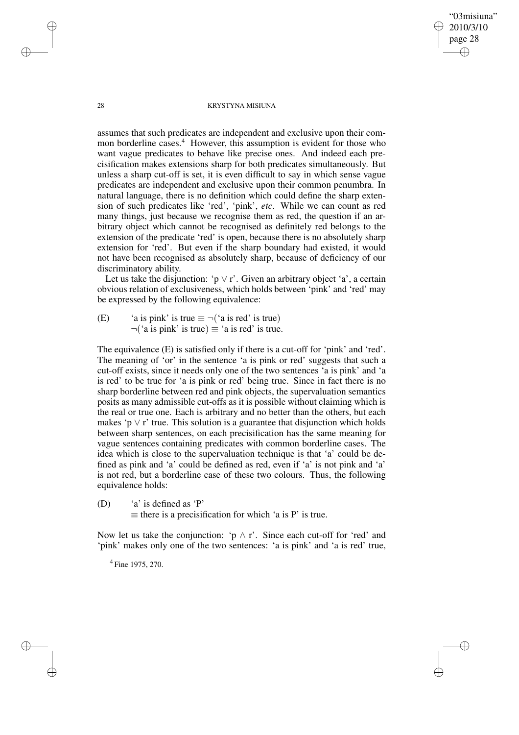"03misiuna" 2010/3/10 page 28 ✐ ✐

✐

✐

### 28 KRYSTYNA MISIUNA

assumes that such predicates are independent and exclusive upon their common borderline cases.<sup>4</sup> However, this assumption is evident for those who want vague predicates to behave like precise ones. And indeed each precisification makes extensions sharp for both predicates simultaneously. But unless a sharp cut-off is set, it is even difficult to say in which sense vague predicates are independent and exclusive upon their common penumbra. In natural language, there is no definition which could define the sharp extension of such predicates like 'red', 'pink', *etc*. While we can count as red many things, just because we recognise them as red, the question if an arbitrary object which cannot be recognised as definitely red belongs to the extension of the predicate 'red' is open, because there is no absolutely sharp extension for 'red'. But even if the sharp boundary had existed, it would not have been recognised as absolutely sharp, because of deficiency of our discriminatory ability.

Let us take the disjunction: 'p  $\vee$  r'. Given an arbitrary object 'a', a certain obvious relation of exclusiveness, which holds between 'pink' and 'red' may be expressed by the following equivalence:

(E) 'a is pink' is true  $\equiv \neg$  ('a is red' is true)  $\neg$ ('a is pink' is true)  $\equiv$  'a is red' is true.

The equivalence (E) is satisfied only if there is a cut-off for 'pink' and 'red'. The meaning of 'or' in the sentence 'a is pink or red' suggests that such a cut-off exists, since it needs only one of the two sentences 'a is pink' and 'a is red' to be true for 'a is pink or red' being true. Since in fact there is no sharp borderline between red and pink objects, the supervaluation semantics posits as many admissible cut-offs as it is possible without claiming which is the real or true one. Each is arbitrary and no better than the others, but each makes 'p  $\vee$  r' true. This solution is a guarantee that disjunction which holds between sharp sentences, on each precisification has the same meaning for vague sentences containing predicates with common borderline cases. The idea which is close to the supervaluation technique is that 'a' could be defined as pink and 'a' could be defined as red, even if 'a' is not pink and 'a' is not red, but a borderline case of these two colours. Thus, the following equivalence holds:

(D) 'a' is defined as 'P'  $\equiv$  there is a precisification for which 'a is P' is true.

Now let us take the conjunction: ' $p \wedge r$ '. Since each cut-off for 'red' and 'pink' makes only one of the two sentences: 'a is pink' and 'a is red' true,

<sup>4</sup> Fine 1975, 270.

✐

✐

✐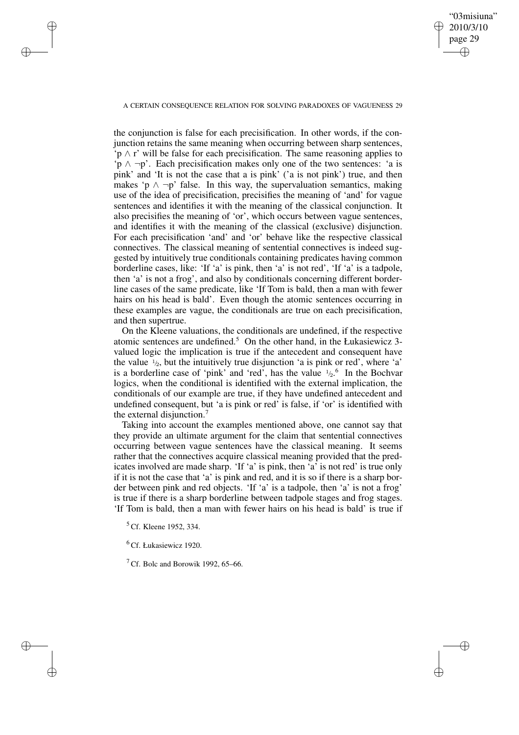### "03misiuna" 2010/3/10 page 29 ✐ ✐

✐

✐

### A CERTAIN CONSEQUENCE RELATION FOR SOLVING PARADOXES OF VAGUENESS 29

the conjunction is false for each precisification. In other words, if the conjunction retains the same meaning when occurring between sharp sentences, 'p ∧ r' will be false for each precisification. The same reasoning applies to 'p ∧ ¬p'. Each precisification makes only one of the two sentences: 'a is pink' and 'It is not the case that a is pink' ('a is not pink') true, and then makes 'p  $\land \neg p$ ' false. In this way, the supervaluation semantics, making use of the idea of precisification, precisifies the meaning of 'and' for vague sentences and identifies it with the meaning of the classical conjunction. It also precisifies the meaning of 'or', which occurs between vague sentences, and identifies it with the meaning of the classical (exclusive) disjunction. For each precisification 'and' and 'or' behave like the respective classical connectives. The classical meaning of sentential connectives is indeed suggested by intuitively true conditionals containing predicates having common borderline cases, like: 'If 'a' is pink, then 'a' is not red', 'If 'a' is a tadpole, then 'a' is not a frog', and also by conditionals concerning different borderline cases of the same predicate, like 'If Tom is bald, then a man with fewer hairs on his head is bald'. Even though the atomic sentences occurring in these examples are vague, the conditionals are true on each precisification, and then supertrue.

On the Kleene valuations, the conditionals are undefined, if the respective atomic sentences are undefined.<sup>5</sup> On the other hand, in the Łukasiewicz 3valued logic the implication is true if the antecedent and consequent have the value  $\frac{1}{2}$ , but the intuitively true disjunction 'a is pink or red', where 'a' is a borderline case of 'pink' and 'red', has the value  $\frac{1}{2}$ <sup>6</sup>. In the Bochvar logics, when the conditional is identified with the external implication, the conditionals of our example are true, if they have undefined antecedent and undefined consequent, but 'a is pink or red' is false, if 'or' is identified with the external disjunction.<sup>7</sup>

Taking into account the examples mentioned above, one cannot say that they provide an ultimate argument for the claim that sentential connectives occurring between vague sentences have the classical meaning. It seems rather that the connectives acquire classical meaning provided that the predicates involved are made sharp. 'If 'a' is pink, then 'a' is not red' is true only if it is not the case that 'a' is pink and red, and it is so if there is a sharp border between pink and red objects. 'If 'a' is a tadpole, then 'a' is not a frog' is true if there is a sharp borderline between tadpole stages and frog stages. 'If Tom is bald, then a man with fewer hairs on his head is bald' is true if

✐

✐

✐

<sup>&</sup>lt;sup>5</sup> Cf. Kleene 1952, 334.

<sup>6</sup> Cf. Łukasiewicz 1920.

<sup>&</sup>lt;sup>7</sup> Cf. Bolc and Borowik 1992, 65–66.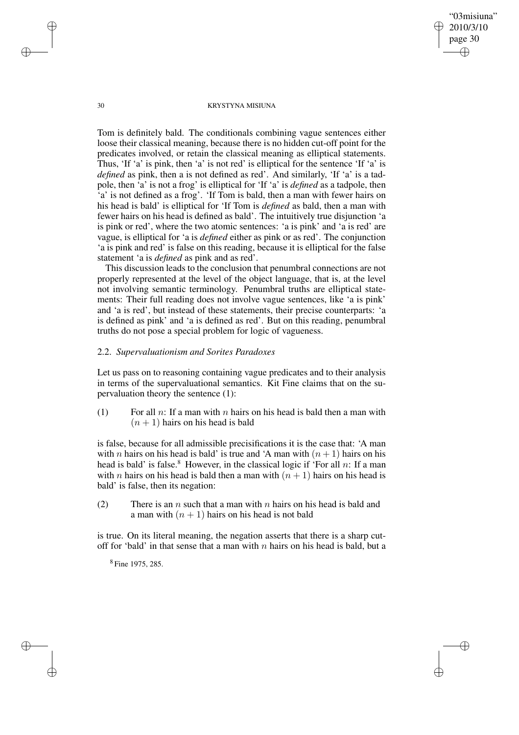✐

### 30 KRYSTYNA MISIUNA

Tom is definitely bald. The conditionals combining vague sentences either loose their classical meaning, because there is no hidden cut-off point for the predicates involved, or retain the classical meaning as elliptical statements. Thus, 'If 'a' is pink, then 'a' is not red' is elliptical for the sentence 'If 'a' is *defined* as pink, then a is not defined as red'. And similarly, 'If 'a' is a tadpole, then 'a' is not a frog' is elliptical for 'If 'a' is *defined* as a tadpole, then 'a' is not defined as a frog'. 'If Tom is bald, then a man with fewer hairs on his head is bald' is elliptical for 'If Tom is *defined* as bald, then a man with fewer hairs on his head is defined as bald'. The intuitively true disjunction 'a is pink or red', where the two atomic sentences: 'a is pink' and 'a is red' are vague, is elliptical for 'a is *defined* either as pink or as red'. The conjunction 'a is pink and red' is false on this reading, because it is elliptical for the false statement 'a is *defined* as pink and as red'.

This discussion leads to the conclusion that penumbral connections are not properly represented at the level of the object language, that is, at the level not involving semantic terminology. Penumbral truths are elliptical statements: Their full reading does not involve vague sentences, like 'a is pink' and 'a is red', but instead of these statements, their precise counterparts: 'a is defined as pink' and 'a is defined as red'. But on this reading, penumbral truths do not pose a special problem for logic of vagueness.

## 2.2. *Supervaluationism and Sorites Paradoxes*

Let us pass on to reasoning containing vague predicates and to their analysis in terms of the supervaluational semantics. Kit Fine claims that on the supervaluation theory the sentence (1):

(1) For all n: If a man with n hairs on his head is bald then a man with  $(n + 1)$  hairs on his head is bald

is false, because for all admissible precisifications it is the case that: 'A man with *n* hairs on his head is bald' is true and 'A man with  $(n + 1)$  hairs on his head is bald' is false.<sup>8</sup> However, in the classical logic if 'For all n: If a man with *n* hairs on his head is bald then a man with  $(n + 1)$  hairs on his head is bald' is false, then its negation:

(2) There is an n such that a man with n hairs on his head is bald and a man with  $(n + 1)$  hairs on his head is not bald

is true. On its literal meaning, the negation asserts that there is a sharp cutoff for 'bald' in that sense that a man with  $n$  hairs on his head is bald, but a

8 Fine 1975, 285.

✐

✐

✐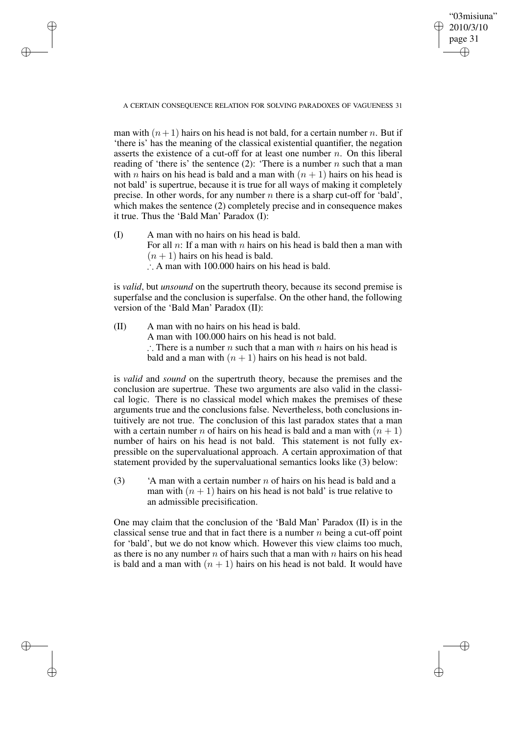A CERTAIN CONSEQUENCE RELATION FOR SOLVING PARADOXES OF VAGUENESS 31

✐

✐

✐

✐

"03misiuna" 2010/3/10 page 31

✐

✐

✐

✐

man with  $(n+1)$  hairs on his head is not bald, for a certain number n. But if 'there is' has the meaning of the classical existential quantifier, the negation asserts the existence of a cut-off for at least one number  $n$ . On this liberal reading of 'there is' the sentence (2): 'There is a number n such that a man with *n* hairs on his head is bald and a man with  $(n + 1)$  hairs on his head is not bald' is supertrue, because it is true for all ways of making it completely precise. In other words, for any number  $n$  there is a sharp cut-off for 'bald', which makes the sentence (2) completely precise and in consequence makes it true. Thus the 'Bald Man' Paradox (I):

(I) A man with no hairs on his head is bald. For all n: If a man with n hairs on his head is hald then a man with  $(n + 1)$  hairs on his head is bald. ∴ A man with 100.000 hairs on his head is bald.

is *valid*, but *unsound* on the supertruth theory, because its second premise is superfalse and the conclusion is superfalse. On the other hand, the following version of the 'Bald Man' Paradox (II):

(II) A man with no hairs on his head is bald. A man with 100.000 hairs on his head is not bald. ∴ There is a number *n* such that a man with *n* hairs on his head is bald and a man with  $(n + 1)$  hairs on his head is not bald.

is *valid* and *sound* on the supertruth theory, because the premises and the conclusion are supertrue. These two arguments are also valid in the classical logic. There is no classical model which makes the premises of these arguments true and the conclusions false. Nevertheless, both conclusions intuitively are not true. The conclusion of this last paradox states that a man with a certain number n of hairs on his head is bald and a man with  $(n + 1)$ number of hairs on his head is not bald. This statement is not fully expressible on the supervaluational approach. A certain approximation of that statement provided by the supervaluational semantics looks like (3) below:

(3) 'A man with a certain number n of hairs on his head is bald and a man with  $(n + 1)$  hairs on his head is not bald' is true relative to an admissible precisification.

One may claim that the conclusion of the 'Bald Man' Paradox (II) is in the classical sense true and that in fact there is a number  $n$  being a cut-off point for 'bald', but we do not know which. However this view claims too much, as there is no any number n of hairs such that a man with n hairs on his head is bald and a man with  $(n + 1)$  hairs on his head is not bald. It would have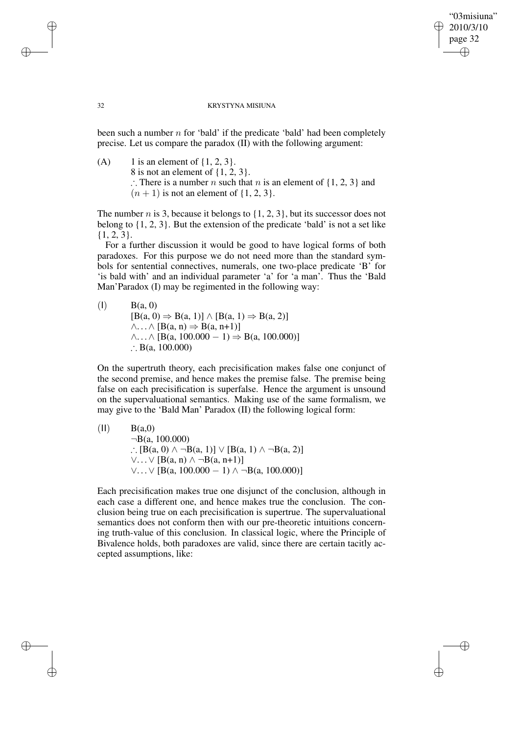## "03misiuna" 2010/3/10 page 32 ✐ ✐

✐

✐

### 32 KRYSTYNA MISIUNA

been such a number  $n$  for 'bald' if the predicate 'bald' had been completely precise. Let us compare the paradox (II) with the following argument:

(A) 1 is an element of  $\{1, 2, 3\}.$ 8 is not an element of  $\{1, 2, 3\}$ . ∴ There is a number *n* such that *n* is an element of  $\{1, 2, 3\}$  and  $(n + 1)$  is not an element of  $\{1, 2, 3\}.$ 

The number  $n$  is 3, because it belongs to  $\{1, 2, 3\}$ , but its successor does not belong to {1, 2, 3}. But the extension of the predicate 'bald' is not a set like {1, 2, 3}.

For a further discussion it would be good to have logical forms of both paradoxes. For this purpose we do not need more than the standard symbols for sentential connectives, numerals, one two-place predicate 'B' for 'is bald with' and an individual parameter 'a' for 'a man'. Thus the 'Bald Man'Paradox (I) may be regimented in the following way:

 $B(a, 0)$  $[B(a, 0) \Rightarrow B(a, 1)] \wedge [B(a, 1) \Rightarrow B(a, 2)]$  $\wedge \ldots \wedge [B(a, n) \Rightarrow B(a, n+1)]$  $\wedge$ ...  $\wedge$  [B(a, 100.000 − 1)  $\Rightarrow$  B(a, 100.000)] ∴ B(a,  $100.000$ )

On the supertruth theory, each precisification makes false one conjunct of the second premise, and hence makes the premise false. The premise being false on each precisification is superfalse. Hence the argument is unsound on the supervaluational semantics. Making use of the same formalism, we may give to the 'Bald Man' Paradox (II) the following logical form:

\n- (II) 
$$
B(a,0)
$$
\n $¬B(a, 100.000)$ \n $∴ [B(a, 0) ∧ ¬B(a, 1)] ∨ [B(a, 1) ∧ ¬B(a, 2)] ∨ ∴ ∨ ∨ [B(a, n) ∧ ¬B(a, n+1)] ∨ ∨ ∨ [B(a, 100.000 − 1) ∧ ¬B(a, 100.000)]$ \n
\n

Each precisification makes true one disjunct of the conclusion, although in each case a different one, and hence makes true the conclusion. The conclusion being true on each precisification is supertrue. The supervaluational semantics does not conform then with our pre-theoretic intuitions concerning truth-value of this conclusion. In classical logic, where the Principle of Bivalence holds, both paradoxes are valid, since there are certain tacitly accepted assumptions, like:

✐

✐

✐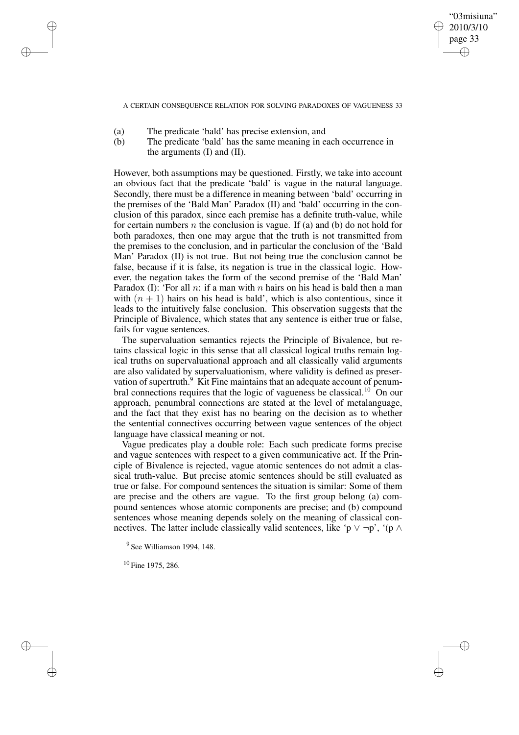"03misiuna" 2010/3/10 page 33 ✐ ✐

✐

✐

A CERTAIN CONSEQUENCE RELATION FOR SOLVING PARADOXES OF VAGUENESS 33

(a) The predicate 'bald' has precise extension, and

✐

✐

✐

✐

(b) The predicate 'bald' has the same meaning in each occurrence in the arguments (I) and (II).

However, both assumptions may be questioned. Firstly, we take into account an obvious fact that the predicate 'bald' is vague in the natural language. Secondly, there must be a difference in meaning between 'bald' occurring in the premises of the 'Bald Man' Paradox (II) and 'bald' occurring in the conclusion of this paradox, since each premise has a definite truth-value, while for certain numbers n the conclusion is vague. If (a) and (b) do not hold for both paradoxes, then one may argue that the truth is not transmitted from the premises to the conclusion, and in particular the conclusion of the 'Bald Man' Paradox (II) is not true. But not being true the conclusion cannot be false, because if it is false, its negation is true in the classical logic. However, the negation takes the form of the second premise of the 'Bald Man' Paradox (I): 'For all  $n$ : if a man with  $n$  hairs on his head is bald then a man with  $(n + 1)$  hairs on his head is bald', which is also contentious, since it leads to the intuitively false conclusion. This observation suggests that the Principle of Bivalence, which states that any sentence is either true or false, fails for vague sentences.

The supervaluation semantics rejects the Principle of Bivalence, but retains classical logic in this sense that all classical logical truths remain logical truths on supervaluational approach and all classically valid arguments are also validated by supervaluationism, where validity is defined as preservation of supertruth. $9\overline{)}$  Kit Fine maintains that an adequate account of penumbral connections requires that the logic of vagueness be classical.<sup>10</sup> On our approach, penumbral connections are stated at the level of metalanguage, and the fact that they exist has no bearing on the decision as to whether the sentential connectives occurring between vague sentences of the object language have classical meaning or not.

Vague predicates play a double role: Each such predicate forms precise and vague sentences with respect to a given communicative act. If the Principle of Bivalence is rejected, vague atomic sentences do not admit a classical truth-value. But precise atomic sentences should be still evaluated as true or false. For compound sentences the situation is similar: Some of them are precise and the others are vague. To the first group belong (a) compound sentences whose atomic components are precise; and (b) compound sentences whose meaning depends solely on the meaning of classical connectives. The latter include classically valid sentences, like 'p  $\vee \neg p$ ', '(p  $\wedge$ 

<sup>9</sup> See Williamson 1994, 148.

<sup>10</sup> Fine 1975, 286.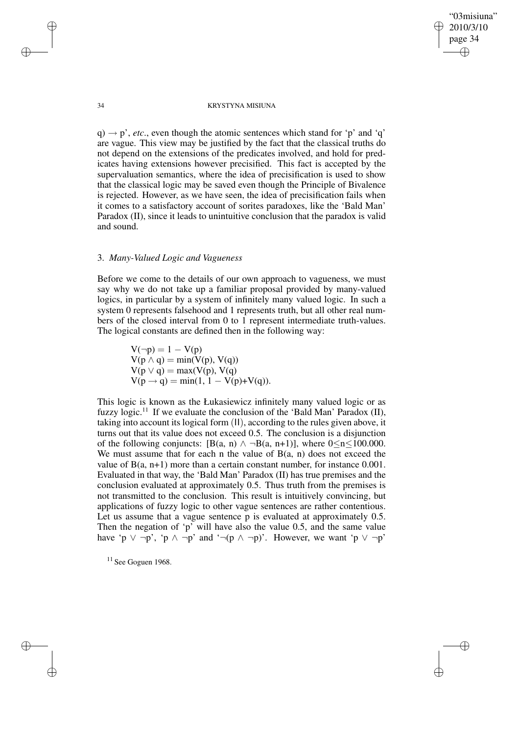"03misiuna" 2010/3/10 page 34 ✐ ✐

✐

✐

#### 34 KRYSTYNA MISIUNA

 $q \rightarrow p'$ , *etc.*, even though the atomic sentences which stand for 'p' and 'q' are vague. This view may be justified by the fact that the classical truths do not depend on the extensions of the predicates involved, and hold for predicates having extensions however precisified. This fact is accepted by the supervaluation semantics, where the idea of precisification is used to show that the classical logic may be saved even though the Principle of Bivalence is rejected. However, as we have seen, the idea of precisification fails when it comes to a satisfactory account of sorites paradoxes, like the 'Bald Man' Paradox (II), since it leads to unintuitive conclusion that the paradox is valid and sound.

# 3. *Many-Valued Logic and Vagueness*

Before we come to the details of our own approach to vagueness, we must say why we do not take up a familiar proposal provided by many-valued logics, in particular by a system of infinitely many valued logic. In such a system 0 represents falsehood and 1 represents truth, but all other real numbers of the closed interval from 0 to 1 represent intermediate truth-values. The logical constants are defined then in the following way:

> $V(\neg p) = 1 - V(p)$  $V(p \wedge q) = min(V(p), V(q))$  $V(p \lor q) = max(V(p), V(q))$  $V(p \rightarrow q) = min(1, 1 - V(p) + V(q)).$

This logic is known as the Łukasiewicz infinitely many valued logic or as fuzzy logic.<sup>11</sup> If we evaluate the conclusion of the 'Bald Man' Paradox (II), taking into account its logical form (II), according to the rules given above, it turns out that its value does not exceed 0.5. The conclusion is a disjunction of the following conjuncts:  $[B(a, n) \land \neg B(a, n+1)]$ , where  $0 \le n \le 100.000$ . We must assume that for each n the value of  $B(a, n)$  does not exceed the value of  $B(a, n+1)$  more than a certain constant number, for instance 0.001. Evaluated in that way, the 'Bald Man' Paradox (II) has true premises and the conclusion evaluated at approximately 0.5. Thus truth from the premises is not transmitted to the conclusion. This result is intuitively convincing, but applications of fuzzy logic to other vague sentences are rather contentious. Let us assume that a vague sentence p is evaluated at approximately 0.5. Then the negation of 'p' will have also the value 0.5, and the same value have 'p  $\vee \neg p'$ , 'p  $\wedge \neg p'$  and ' $\neg (p \wedge \neg p)'$ . However, we want 'p  $\vee \neg p'$ '

 $11$  See Goguen 1968.

✐

✐

✐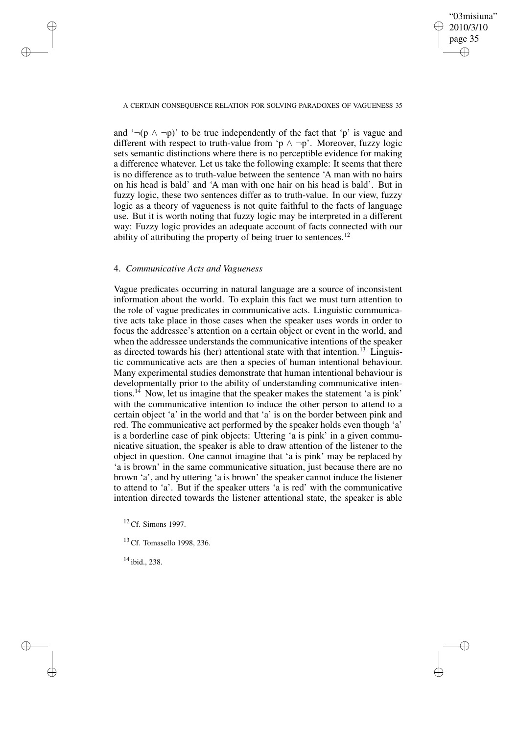✐

### A CERTAIN CONSEQUENCE RELATION FOR SOLVING PARADOXES OF VAGUENESS 35

and  $\neg$ (p  $\land \neg$ p)' to be true independently of the fact that 'p' is vague and different with respect to truth-value from 'p  $\land \neg p$ '. Moreover, fuzzy logic sets semantic distinctions where there is no perceptible evidence for making a difference whatever. Let us take the following example: It seems that there is no difference as to truth-value between the sentence 'A man with no hairs on his head is bald' and 'A man with one hair on his head is bald'. But in fuzzy logic, these two sentences differ as to truth-value. In our view, fuzzy logic as a theory of vagueness is not quite faithful to the facts of language use. But it is worth noting that fuzzy logic may be interpreted in a different way: Fuzzy logic provides an adequate account of facts connected with our ability of attributing the property of being truer to sentences.<sup>12</sup>

### 4. *Communicative Acts and Vagueness*

✐

✐

✐

✐

Vague predicates occurring in natural language are a source of inconsistent information about the world. To explain this fact we must turn attention to the role of vague predicates in communicative acts. Linguistic communicative acts take place in those cases when the speaker uses words in order to focus the addressee's attention on a certain object or event in the world, and when the addressee understands the communicative intentions of the speaker as directed towards his (her) attentional state with that intention.<sup>13</sup> Linguistic communicative acts are then a species of human intentional behaviour. Many experimental studies demonstrate that human intentional behaviour is developmentally prior to the ability of understanding communicative intentions.<sup>14</sup> Now, let us imagine that the speaker makes the statement 'a is pink' with the communicative intention to induce the other person to attend to a certain object 'a' in the world and that 'a' is on the border between pink and red. The communicative act performed by the speaker holds even though 'a' is a borderline case of pink objects: Uttering 'a is pink' in a given communicative situation, the speaker is able to draw attention of the listener to the object in question. One cannot imagine that 'a is pink' may be replaced by 'a is brown' in the same communicative situation, just because there are no brown 'a', and by uttering 'a is brown' the speaker cannot induce the listener to attend to 'a'. But if the speaker utters 'a is red' with the communicative intention directed towards the listener attentional state, the speaker is able

<sup>12</sup> Cf. Simons 1997.

<sup>13</sup> Cf. Tomasello 1998, 236.

<sup>14</sup> ibid., 238.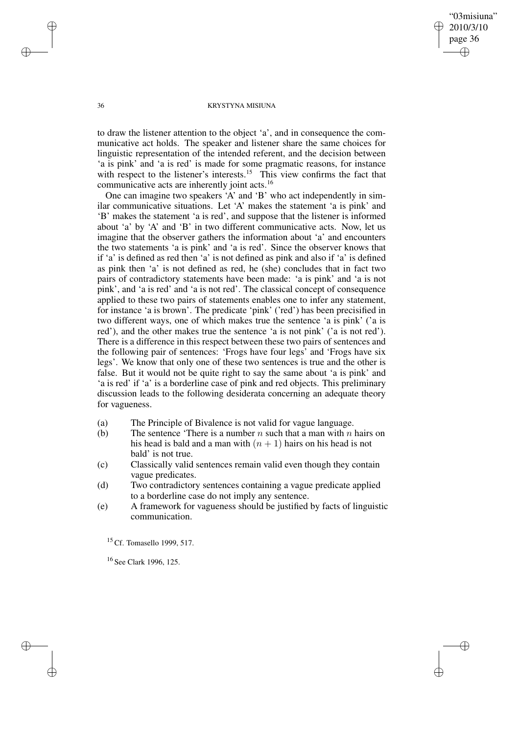✐

### 36 KRYSTYNA MISIUNA

to draw the listener attention to the object 'a', and in consequence the communicative act holds. The speaker and listener share the same choices for linguistic representation of the intended referent, and the decision between 'a is pink' and 'a is red' is made for some pragmatic reasons, for instance with respect to the listener's interests.<sup>15</sup> This view confirms the fact that communicative acts are inherently joint acts.<sup>16</sup>

One can imagine two speakers 'A' and 'B' who act independently in similar communicative situations. Let 'A' makes the statement 'a is pink' and 'B' makes the statement 'a is red', and suppose that the listener is informed about 'a' by 'A' and 'B' in two different communicative acts. Now, let us imagine that the observer gathers the information about 'a' and encounters the two statements 'a is pink' and 'a is red'. Since the observer knows that if 'a' is defined as red then 'a' is not defined as pink and also if 'a' is defined as pink then 'a' is not defined as red, he (she) concludes that in fact two pairs of contradictory statements have been made: 'a is pink' and 'a is not pink', and 'a is red' and 'a is not red'. The classical concept of consequence applied to these two pairs of statements enables one to infer any statement, for instance 'a is brown'. The predicate 'pink' ('red') has been precisified in two different ways, one of which makes true the sentence 'a is pink' ('a is red'), and the other makes true the sentence 'a is not pink' ('a is not red'). There is a difference in this respect between these two pairs of sentences and the following pair of sentences: 'Frogs have four legs' and 'Frogs have six legs'. We know that only one of these two sentences is true and the other is false. But it would not be quite right to say the same about 'a is pink' and 'a is red' if 'a' is a borderline case of pink and red objects. This preliminary discussion leads to the following desiderata concerning an adequate theory for vagueness.

- (a) The Principle of Bivalence is not valid for vague language.
- (b) The sentence 'There is a number  $n$  such that a man with  $n$  hairs on his head is bald and a man with  $(n + 1)$  hairs on his head is not bald' is not true.
- (c) Classically valid sentences remain valid even though they contain vague predicates.
- (d) Two contradictory sentences containing a vague predicate applied to a borderline case do not imply any sentence.
- (e) A framework for vagueness should be justified by facts of linguistic communication.

<sup>15</sup> Cf. Tomasello 1999, 517.

<sup>16</sup> See Clark 1996, 125.

✐

✐

✐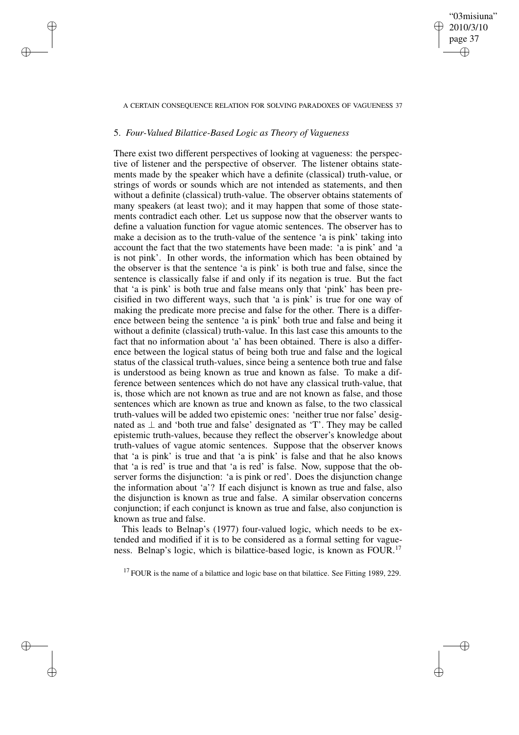### A CERTAIN CONSEQUENCE RELATION FOR SOLVING PARADOXES OF VAGUENESS 37

"03misiuna" 2010/3/10 page 37

✐

✐

✐

✐

## 5. *Four-Valued Bilattice-Based Logic as Theory of Vagueness*

✐

✐

✐

✐

There exist two different perspectives of looking at vagueness: the perspective of listener and the perspective of observer. The listener obtains statements made by the speaker which have a definite (classical) truth-value, or strings of words or sounds which are not intended as statements, and then without a definite (classical) truth-value. The observer obtains statements of many speakers (at least two); and it may happen that some of those statements contradict each other. Let us suppose now that the observer wants to define a valuation function for vague atomic sentences. The observer has to make a decision as to the truth-value of the sentence 'a is pink' taking into account the fact that the two statements have been made: 'a is pink' and 'a is not pink'. In other words, the information which has been obtained by the observer is that the sentence 'a is pink' is both true and false, since the sentence is classically false if and only if its negation is true. But the fact that 'a is pink' is both true and false means only that 'pink' has been precisified in two different ways, such that 'a is pink' is true for one way of making the predicate more precise and false for the other. There is a difference between being the sentence 'a is pink' both true and false and being it without a definite (classical) truth-value. In this last case this amounts to the fact that no information about 'a' has been obtained. There is also a difference between the logical status of being both true and false and the logical status of the classical truth-values, since being a sentence both true and false is understood as being known as true and known as false. To make a difference between sentences which do not have any classical truth-value, that is, those which are not known as true and are not known as false, and those sentences which are known as true and known as false, to the two classical truth-values will be added two epistemic ones: 'neither true nor false' designated as ⊥ and 'both true and false' designated as 'T'. They may be called epistemic truth-values, because they reflect the observer's knowledge about truth-values of vague atomic sentences. Suppose that the observer knows that 'a is pink' is true and that 'a is pink' is false and that he also knows that 'a is red' is true and that 'a is red' is false. Now, suppose that the observer forms the disjunction: 'a is pink or red'. Does the disjunction change the information about 'a'? If each disjunct is known as true and false, also the disjunction is known as true and false. A similar observation concerns conjunction; if each conjunct is known as true and false, also conjunction is known as true and false.

This leads to Belnap's (1977) four-valued logic, which needs to be extended and modified if it is to be considered as a formal setting for vagueness. Belnap's logic, which is bilattice-based logic, is known as FOUR.<sup>17</sup>

 $17$  FOUR is the name of a bilattice and logic base on that bilattice. See Fitting 1989, 229.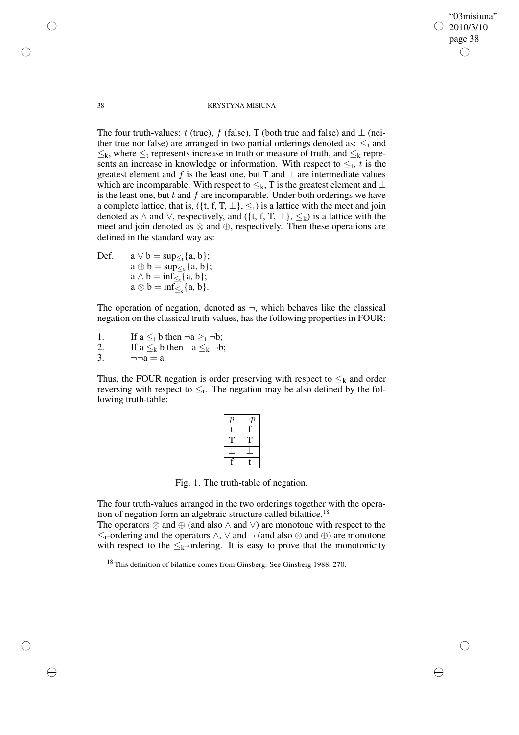38 KRYSTYNA MISIUNA

"03misiuna" 2010/3/10 page 38

✐

✐

✐

✐

The four truth-values: t (true), f (false), T (both true and false) and  $\perp$  (neither true nor false) are arranged in two partial orderings denoted as:  $\leq_t$  and  $\leq_k$ , where  $\leq_t$  represents increase in truth or measure of truth, and  $\leq_k$  represents an increase in knowledge or information. With respect to  $\leq_t$ , t is the greatest element and f is the least one, but T and  $\perp$  are intermediate values which are incomparable. With respect to  $\leq_k$ , T is the greatest element and ⊥ is the least one, but  $t$  and  $f$  are incomparable. Under both orderings we have a complete lattice, that is,  $({t, f, T, \perp}, \leq_t)$  is a lattice with the meet and join denoted as  $\land$  and  $\lor$ , respectively, and  $(\{t, f, T, \bot\}, \leq_k)$  is a lattice with the meet and join denoted as  $\otimes$  and  $\oplus$ , respectively. Then these operations are defined in the standard way as:

Def.  $a \lor b = \sup_{\leq t} \{a, b\};$  $a \oplus b = \sup_{\leq k} \{a, b\};$  $a \wedge b = \inf_{\leq t} \{a, b\};$  $a \otimes b = \inf_{\leq k} \{a, b\}.$ 

The operation of negation, denoted as  $\neg$ , which behaves like the classical negation on the classical truth-values, has the following properties in FOUR:

1. If  $a \leq_t b$  then  $\neg a \geq_t \neg b$ ; 2. If  $a \leq_k b$  then  $\neg a \leq_k \neg b$ ;

3.  $\neg \neg a = a$ .

Thus, the FOUR negation is order preserving with respect to  $\leq_k$  and order reversing with respect to  $\leq_t$ . The negation may be also defined by the following truth-table:

| $\overline{\rho}$ |   |
|-------------------|---|
| t                 |   |
|                   |   |
|                   |   |
|                   | t |

Fig. 1. The truth-table of negation.

The four truth-values arranged in the two orderings together with the operation of negation form an algebraic structure called bilattice.<sup>18</sup>

The operators  $\otimes$  and  $\oplus$  (and also  $\wedge$  and  $\vee$ ) are monotone with respect to the ≤t-ordering and the operators ∧, ∨ and ¬ (and also ⊗ and ⊕) are monotone with respect to the  $\leq_k$ -ordering. It is easy to prove that the monotonicity

<sup>18</sup> This definition of bilattice comes from Ginsberg. See Ginsberg 1988, 270.

✐

✐

✐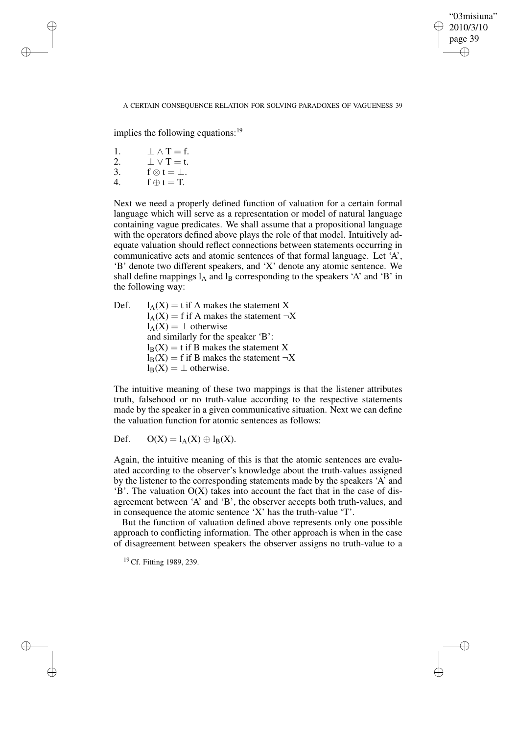## "03misiuna" 2010/3/10 page 39 ✐ ✐

✐

✐

### A CERTAIN CONSEQUENCE RELATION FOR SOLVING PARADOXES OF VAGUENESS 39

implies the following equations:  $19$ 

1.  $\perp \wedge T = f$ .

✐

✐

✐

✐

- 2.  $\perp \vee T = t$ .
- 3.  $f \otimes t = \perp$ .
- 4.  $f \oplus t = T$ .

Next we need a properly defined function of valuation for a certain formal language which will serve as a representation or model of natural language containing vague predicates. We shall assume that a propositional language with the operators defined above plays the role of that model. Intuitively adequate valuation should reflect connections between statements occurring in communicative acts and atomic sentences of that formal language. Let 'A', 'B' denote two different speakers, and 'X' denote any atomic sentence. We shall define mappings  $l_A$  and  $l_B$  corresponding to the speakers 'A' and 'B' in the following way:

Def.  $l_A(X) = t$  if A makes the statement X  $l_A(X) = f$  if A makes the statement  $\neg X$  $l_A(X) = \perp$  otherwise and similarly for the speaker 'B':  $l_B(X) = t$  if B makes the statement X  $l_B(X) = f$  if B makes the statement  $\neg X$  $l_B(X) = \perp$  otherwise.

The intuitive meaning of these two mappings is that the listener attributes truth, falsehood or no truth-value according to the respective statements made by the speaker in a given communicative situation. Next we can define the valuation function for atomic sentences as follows:

Def.  $O(X) = l_A(X) \oplus l_B(X)$ .

Again, the intuitive meaning of this is that the atomic sentences are evaluated according to the observer's knowledge about the truth-values assigned by the listener to the corresponding statements made by the speakers 'A' and 'B'. The valuation O(X) takes into account the fact that in the case of disagreement between 'A' and 'B', the observer accepts both truth-values, and in consequence the atomic sentence 'X' has the truth-value 'T'.

But the function of valuation defined above represents only one possible approach to conflicting information. The other approach is when in the case of disagreement between speakers the observer assigns no truth-value to a

<sup>19</sup> Cf. Fitting 1989, 239.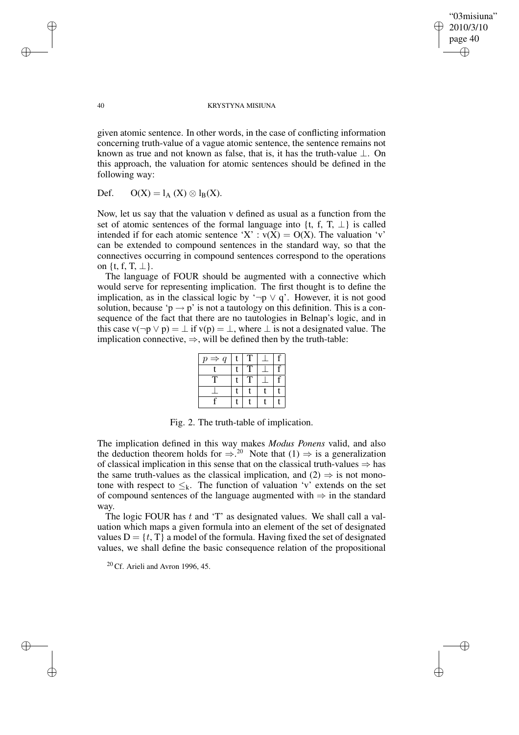✐

### 40 KRYSTYNA MISIUNA

given atomic sentence. In other words, in the case of conflicting information concerning truth-value of a vague atomic sentence, the sentence remains not known as true and not known as false, that is, it has the truth-value  $\bot$ . On this approach, the valuation for atomic sentences should be defined in the following way:

Def.  $O(X) = l_A(X) \otimes l_B(X)$ .

Now, let us say that the valuation v defined as usual as a function from the set of atomic sentences of the formal language into  $\{t, f, T, \perp\}$  is called intended if for each atomic sentence 'X' :  $v(X) = O(X)$ . The valuation 'v' can be extended to compound sentences in the standard way, so that the connectives occurring in compound sentences correspond to the operations on  $\{t, f, T, \perp\}$ .

The language of FOUR should be augmented with a connective which would serve for representing implication. The first thought is to define the implication, as in the classical logic by '¬p  $\vee$  q'. However, it is not good solution, because ' $p \rightarrow p$ ' is not a tautology on this definition. This is a consequence of the fact that there are no tautologies in Belnap's logic, and in this case v( $\neg p \lor p$ ) =  $\bot$  if v(p) =  $\bot$ , where  $\bot$  is not a designated value. The implication connective,  $\Rightarrow$ , will be defined then by the truth-table:

| $\Rightarrow$<br>$\boldsymbol{q}$<br>$\boldsymbol{p}$ |   |  |
|-------------------------------------------------------|---|--|
|                                                       |   |  |
| т                                                     | Τ |  |
|                                                       |   |  |
|                                                       |   |  |

Fig. 2. The truth-table of implication.

The implication defined in this way makes *Modus Ponens* valid, and also the deduction theorem holds for  $\Rightarrow$ .<sup>20</sup> Note that (1)  $\Rightarrow$  is a generalization of classical implication in this sense that on the classical truth-values  $\Rightarrow$  has the same truth-values as the classical implication, and  $(2) \Rightarrow$  is not monotone with respect to  $\leq_k$ . The function of valuation 'v' extends on the set of compound sentences of the language augmented with ⇒ in the standard way.

The logic FOUR has  $t$  and 'T' as designated values. We shall call a valuation which maps a given formula into an element of the set of designated values  $D = \{t, T\}$  a model of the formula. Having fixed the set of designated values, we shall define the basic consequence relation of the propositional

 $20$  Cf. Arieli and Avron 1996, 45.

✐

✐

✐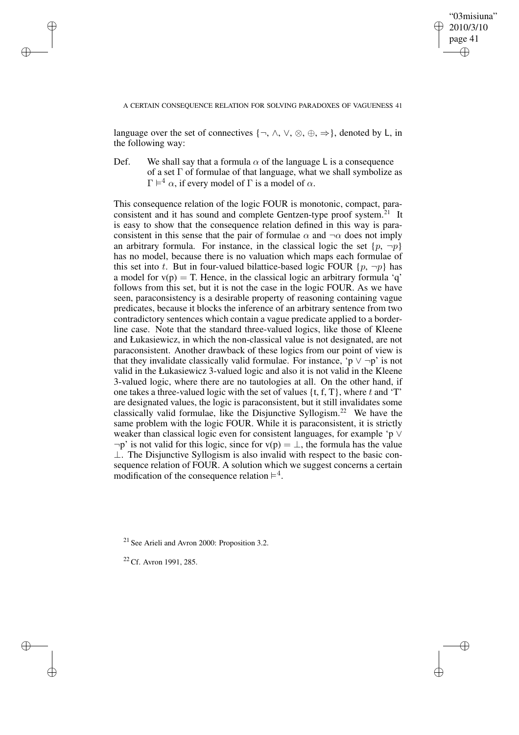"03misiuna" 2010/3/10 page 41 ✐ ✐

✐

✐

A CERTAIN CONSEQUENCE RELATION FOR SOLVING PARADOXES OF VAGUENESS 41

language over the set of connectives  $\{\neg, \wedge, \vee, \otimes, \oplus, \Rightarrow\}$ , denoted by L, in the following way:

Def. We shall say that a formula  $\alpha$  of the language L is a consequence of a set Γ of formulae of that language, what we shall symbolize as  $\Gamma \models^4 \alpha$ , if every model of  $\Gamma$  is a model of  $\alpha$ .

This consequence relation of the logic FOUR is monotonic, compact, paraconsistent and it has sound and complete Gentzen-type proof system.<sup>21</sup> It is easy to show that the consequence relation defined in this way is paraconsistent in this sense that the pair of formulae  $\alpha$  and  $\neg \alpha$  does not imply an arbitrary formula. For instance, in the classical logic the set  $\{p, \neg p\}$ has no model, because there is no valuation which maps each formulae of this set into t. But in four-valued bilattice-based logic FOUR  $\{p, \neg p\}$  has a model for  $v(p) = T$ . Hence, in the classical logic an arbitrary formula 'q' follows from this set, but it is not the case in the logic FOUR. As we have seen, paraconsistency is a desirable property of reasoning containing vague predicates, because it blocks the inference of an arbitrary sentence from two contradictory sentences which contain a vague predicate applied to a borderline case. Note that the standard three-valued logics, like those of Kleene and Łukasiewicz, in which the non-classical value is not designated, are not paraconsistent. Another drawback of these logics from our point of view is that they invalidate classically valid formulae. For instance, 'p  $\vee \neg p$ ' is not valid in the Łukasiewicz 3-valued logic and also it is not valid in the Kleene 3-valued logic, where there are no tautologies at all. On the other hand, if one takes a three-valued logic with the set of values  $\{t, f, T\}$ , where t and 'T' are designated values, the logic is paraconsistent, but it still invalidates some classically valid formulae, like the Disjunctive Syllogism.<sup>22</sup> We have the same problem with the logic FOUR. While it is paraconsistent, it is strictly weaker than classical logic even for consistent languages, for example 'p ∨  $\neg p'$  is not valid for this logic, since for  $v(p) = \perp$ , the formula has the value ⊥. The Disjunctive Syllogism is also invalid with respect to the basic consequence relation of FOUR. A solution which we suggest concerns a certain modification of the consequence relation  $\vDash^4$ .

<sup>21</sup> See Arieli and Avron 2000: Proposition 3.2.

<sup>22</sup> Cf. Avron 1991, 285.

✐

✐

✐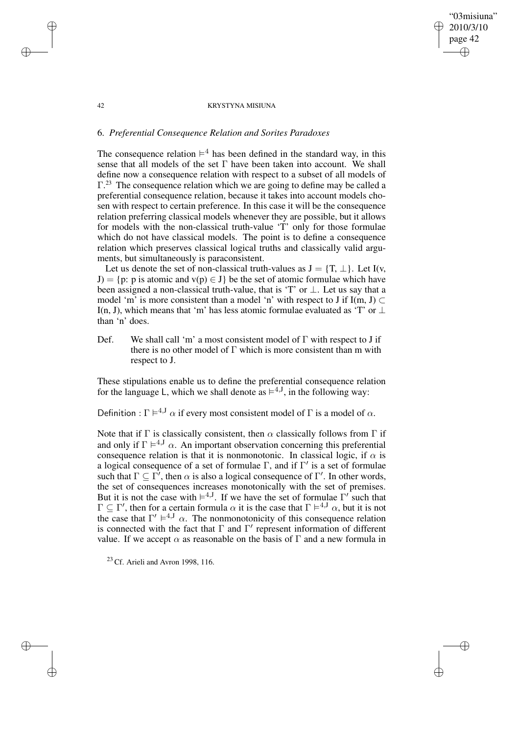## "03misiuna" 2010/3/10 page 42 ✐ ✐

✐

✐

### 42 KRYSTYNA MISIUNA

## 6. *Preferential Consequence Relation and Sorites Paradoxes*

The consequence relation  $\vDash^4$  has been defined in the standard way, in this sense that all models of the set  $\Gamma$  have been taken into account. We shall define now a consequence relation with respect to a subset of all models of  $\Gamma$ <sup>23</sup>. The consequence relation which we are going to define may be called a preferential consequence relation, because it takes into account models chosen with respect to certain preference. In this case it will be the consequence relation preferring classical models whenever they are possible, but it allows for models with the non-classical truth-value 'T' only for those formulae which do not have classical models. The point is to define a consequence relation which preserves classical logical truths and classically valid arguments, but simultaneously is paraconsistent.

Let us denote the set of non-classical truth-values as  $J = \{T, \perp\}$ . Let I(v, J) = {p: p is atomic and v(p)  $\in$  J} be the set of atomic formulae which have been assigned a non-classical truth-value, that is 'T' or ⊥. Let us say that a model 'm' is more consistent than a model 'n' with respect to J if I(m, J)  $\subset$ I(n, J), which means that 'm' has less atomic formulae evaluated as 'T' or  $\perp$ than 'n' does.

Def. We shall call 'm' a most consistent model of  $\Gamma$  with respect to J if there is no other model of  $\Gamma$  which is more consistent than m with respect to J.

These stipulations enable us to define the preferential consequence relation for the language L, which we shall denote as  $\models^{4,1}$ , in the following way:

Definition :  $\Gamma \models^{4,1} \alpha$  if every most consistent model of  $\Gamma$  is a model of  $\alpha$ .

Note that if  $\Gamma$  is classically consistent, then  $\alpha$  classically follows from  $\Gamma$  if and only if  $\Gamma \models^{4,1} \alpha$ . An important observation concerning this preferential consequence relation is that it is nonmonotonic. In classical logic, if  $\alpha$  is a logical consequence of a set of formulae  $\Gamma$ , and if  $\Gamma'$  is a set of formulae such that  $\Gamma \subseteq \Gamma'$ , then  $\alpha$  is also a logical consequence of  $\Gamma'$ . In other words, the set of consequences increases monotonically with the set of premises. But it is not the case with  $\models^{4,1}$ . If we have the set of formulae  $\Gamma'$  such that  $\Gamma \subseteq \Gamma'$ , then for a certain formula  $\alpha$  it is the case that  $\Gamma \models^{4,1} \alpha$ , but it is not the case that  $\Gamma' \models^{4,1} \alpha$ . The nonmonotonicity of this consequence relation is connected with the fact that  $\Gamma$  and  $\Gamma'$  represent information of different value. If we accept  $\alpha$  as reasonable on the basis of  $\Gamma$  and a new formula in

 $23$  Cf. Arieli and Avron 1998, 116.

✐

✐

✐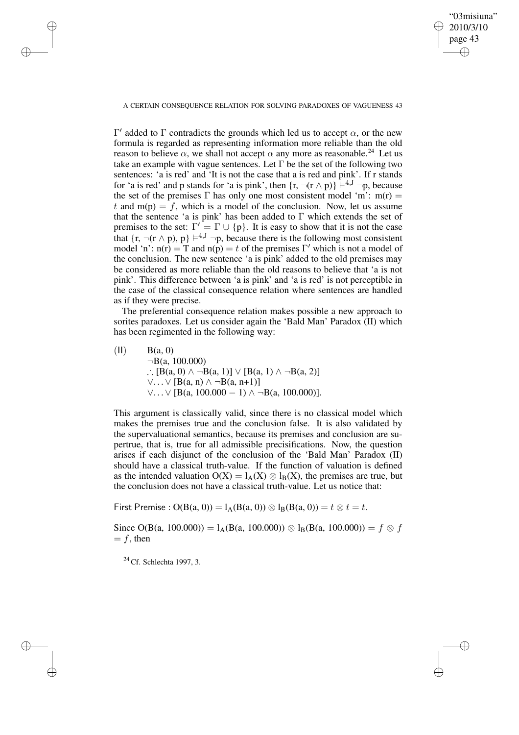✐

### A CERTAIN CONSEQUENCE RELATION FOR SOLVING PARADOXES OF VAGUENESS 43

 $Γ'$  added to Γ contradicts the grounds which led us to accept  $\alpha$ , or the new formula is regarded as representing information more reliable than the old reason to believe  $\alpha$ , we shall not accept  $\alpha$  any more as reasonable.<sup>24</sup> Let us take an example with vague sentences. Let  $\Gamma$  be the set of the following two sentences: 'a is red' and 'It is not the case that a is red and pink'. If r stands for 'a is red' and p stands for 'a is pink', then  $\{r, \neg(r \wedge p)\} \models^{4, J} \neg p$ , because the set of the premises  $\Gamma$  has only one most consistent model 'm': m(r) = t and  $m(p) = f$ , which is a model of the conclusion. Now, let us assume that the sentence 'a is pink' has been added to  $\Gamma$  which extends the set of premises to the set:  $\Gamma' = \Gamma \cup \{p\}$ . It is easy to show that it is not the case that  $\{r, \neg(r \wedge p), p\} \models^{4, J} \neg p$ , because there is the following most consistent model 'n':  $n(r) = T$  and  $n(p) = t$  of the premises  $\Gamma'$  which is not a model of the conclusion. The new sentence 'a is pink' added to the old premises may be considered as more reliable than the old reasons to believe that 'a is not pink'. This difference between 'a is pink' and 'a is red' is not perceptible in the case of the classical consequence relation where sentences are handled as if they were precise.

The preferential consequence relation makes possible a new approach to sorites paradoxes. Let us consider again the 'Bald Man' Paradox (II) which has been regimented in the following way:

 $(11)$  B(a, 0)  $\neg B(a, 100.000)$ ∴  $[B(a, 0) \land \neg B(a, 1)] \lor [B(a, 1) \land \neg B(a, 2)]$  $\vee \ldots \vee$  [B(a, n)  $\wedge \neg B$ (a, n+1)]  $\vee$ ...  $\vee$  [B(a, 100.000 − 1)  $\wedge \neg B$ (a, 100.000)].

This argument is classically valid, since there is no classical model which makes the premises true and the conclusion false. It is also validated by the supervaluational semantics, because its premises and conclusion are supertrue, that is, true for all admissible precisifications. Now, the question arises if each disjunct of the conclusion of the 'Bald Man' Paradox (II) should have a classical truth-value. If the function of valuation is defined as the intended valuation  $O(X) = I_A(X) \otimes I_B(X)$ , the premises are true, but the conclusion does not have a classical truth-value. Let us notice that:

First Premise :  $O(B(a, 0)) = I_A(B(a, 0)) \otimes I_B(B(a, 0)) = t \otimes t = t$ .

Since O(B(a, 100.000)) = l<sub>A</sub>(B(a, 100.000))  $\otimes$  l<sub>B</sub>(B(a, 100.000)) = f  $\otimes$  f  $= f$ , then

 $24$  Cf. Schlechta 1997, 3.

✐

✐

✐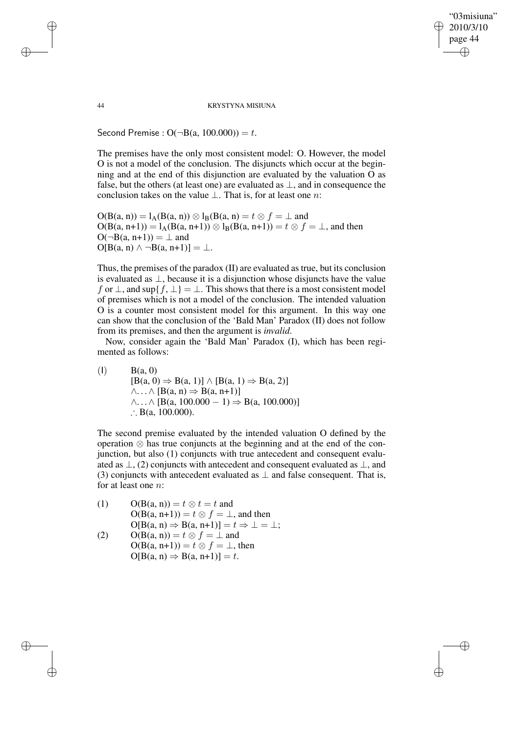"03misiuna" 2010/3/10 page 44 ✐ ✐

✐

✐

44 KRYSTYNA MISIUNA

Second Premise :  $O(\neg B(a, 100.000)) = t$ .

The premises have the only most consistent model: O. However, the model O is not a model of the conclusion. The disjuncts which occur at the beginning and at the end of this disjunction are evaluated by the valuation O as false, but the others (at least one) are evaluated as  $\perp$ , and in consequence the conclusion takes on the value  $\bot$ . That is, for at least one *n*:

 $O(B(a, n)) = 1_A(B(a, n)) \otimes 1_B(B(a, n)) = t \otimes f = \perp$  and  $O(B(a, n+1)) = I_A(B(a, n+1)) \otimes I_B(B(a, n+1)) = t \otimes f = \perp$ , and then  $O(\neg B(a, n+1)) = \perp$  and  $O[B(a, n) \wedge \neg B(a, n+1)] = \bot.$ 

Thus, the premises of the paradox (II) are evaluated astrue, but its conclusion is evaluated as  $\perp$ , because it is a disjunction whose disjuncts have the value f or  $\perp$ , and sup $\{f, \perp\} = \perp$ . This shows that there is a most consistent model of premises which is not a model of the conclusion. The intended valuation O is a counter most consistent model for this argument. In this way one can show that the conclusion of the 'Bald Man' Paradox (II) does not follow from its premises, and then the argument is *invalid*.

Now, consider again the 'Bald Man' Paradox (I), which has been regimented as follows:

 $(1)$  B(a, 0)  $[B(a, 0) \Rightarrow B(a, 1)] \wedge [B(a, 1) \Rightarrow B(a, 2)]$  $\wedge \ldots \wedge [B(a, n) \Rightarrow B(a, n+1)]$  $\wedge$ ...  $\wedge$  [B(a, 100.000 − 1)  $\Rightarrow$  B(a, 100.000)] ∴ B(a, 100.000).

The second premise evaluated by the intended valuation O defined by the operation ⊗ has true conjuncts at the beginning and at the end of the conjunction, but also (1) conjuncts with true antecedent and consequent evaluated as  $\perp$ , (2) conjuncts with antecedent and consequent evaluated as  $\perp$ , and (3) conjuncts with antecedent evaluated as  $\perp$  and false consequent. That is, for at least one n:

- (1)  $O(B(a, n)) = t \otimes t = t$  and  $O(B(a, n+1)) = t \otimes f = \perp$ , and then  $O[B(a, n) \Rightarrow B(a, n+1)] = t \Rightarrow \bot = \bot;$
- (2)  $O(B(a, n)) = t \otimes f = \perp$  and  $O(B(a, n+1)) = t \otimes f = \perp$ , then  $O[B(a, n) \Rightarrow B(a, n+1)] = t.$

✐

✐

✐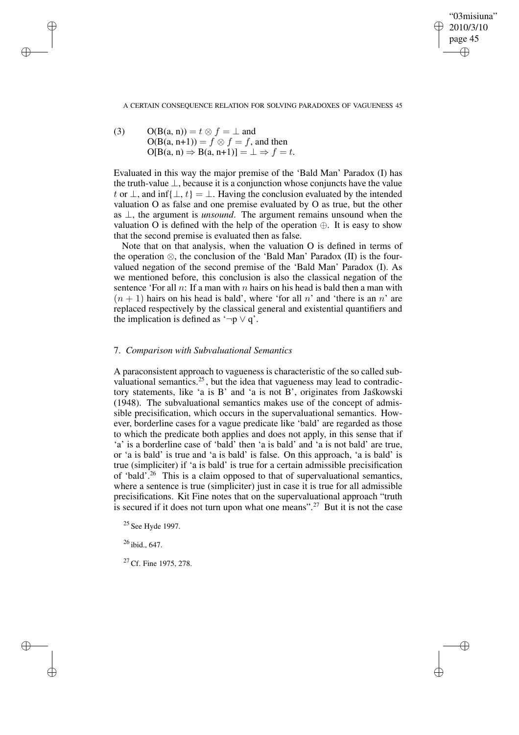✐

A CERTAIN CONSEQUENCE RELATION FOR SOLVING PARADOXES OF VAGUENESS 45

(3)  $O(B(a, n)) = t \otimes f = \perp$  and  $O(B(a, n+1)) = f \otimes f = f$ , and then  $O[B(a, n) \Rightarrow B(a, n+1)] = \bot \Rightarrow f = t.$ 

✐

✐

✐

✐

Evaluated in this way the major premise of the 'Bald Man' Paradox (I) has the truth-value  $\perp$ , because it is a conjunction whose conjuncts have the value t or  $\perp$ , and inf{ $\perp$ ,  $t$ } =  $\perp$ . Having the conclusion evaluated by the intended valuation O as false and one premise evaluated by O as true, but the other as ⊥, the argument is *unsound*. The argument remains unsound when the valuation O is defined with the help of the operation  $\oplus$ . It is easy to show that the second premise is evaluated then as false.

Note that on that analysis, when the valuation O is defined in terms of the operation ⊗, the conclusion of the 'Bald Man' Paradox (II) is the fourvalued negation of the second premise of the 'Bald Man' Paradox (I). As we mentioned before, this conclusion is also the classical negation of the sentence 'For all  $n$ : If a man with  $n$  hairs on his head is bald then a man with  $(n + 1)$  hairs on his head is bald', where 'for all n' and 'there is an n' are replaced respectively by the classical general and existential quantifiers and the implication is defined as ' $\neg p \lor q$ '.

## 7. *Comparison with Subvaluational Semantics*

A paraconsistent approach to vagueness is characteristic of the so called subvaluational semantics.<sup>25</sup>, but the idea that vagueness may lead to contradictory statements, like 'a is B' and 'a is not B', originates from Jaskowski (1948). The subvaluational semantics makes use of the concept of admissible precisification, which occurs in the supervaluational semantics. However, borderline cases for a vague predicate like 'bald' are regarded as those to which the predicate both applies and does not apply, in this sense that if 'a' is a borderline case of 'bald' then 'a is bald' and 'a is not bald' are true, or 'a is bald' is true and 'a is bald' is false. On this approach, 'a is bald' is true (simpliciter) if 'a is bald' is true for a certain admissible precisification of 'bald'.<sup>26</sup> This is a claim opposed to that of supervaluational semantics, where a sentence is true (simpliciter) just in case it is true for all admissible precisifications. Kit Fine notes that on the supervaluational approach "truth is secured if it does not turn upon what one means".<sup>27</sup> But it is not the case

<sup>25</sup> See Hyde 1997.

 $26$  ibid., 647.

<sup>27</sup> Cf. Fine 1975, 278.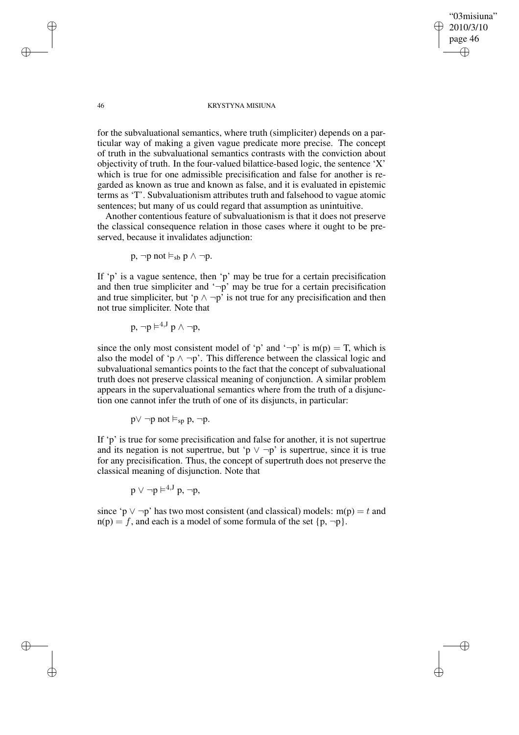✐

#### 46 KRYSTYNA MISIUNA

for the subvaluational semantics, where truth (simpliciter) depends on a particular way of making a given vague predicate more precise. The concept of truth in the subvaluational semantics contrasts with the conviction about objectivity of truth. In the four-valued bilattice-based logic, the sentence  $X'$ which is true for one admissible precisification and false for another is regarded as known as true and known as false, and it is evaluated in epistemic terms as 'T'. Subvaluationism attributes truth and falsehood to vague atomic sentences; but many of us could regard that assumption as unintuitive.

Another contentious feature of subvaluationism is that it does not preserve the classical consequence relation in those cases where it ought to be preserved, because it invalidates adjunction:

$$
p,\neg p\ not \vDash_{sb} p \land \neg p.
$$

If 'p' is a vague sentence, then 'p' may be true for a certain precisification and then true simpliciter and ' $\neg p$ ' may be true for a certain precisification and true simpliciter, but 'p  $\land \neg p$ ' is not true for any precisification and then not true simpliciter. Note that

 $\mathsf{p}, \neg \mathsf{p} \models^{4, \text{J}} \mathsf{p} \land \neg \mathsf{p},$ 

since the only most consistent model of 'p' and ' $\neg$ p' is m(p) = T, which is also the model of 'p  $\land \neg p$ '. This difference between the classical logic and subvaluational semantics points to the fact that the concept of subvaluational truth does not preserve classical meaning of conjunction. A similar problem appears in the supervaluational semantics where from the truth of a disjunction one cannot infer the truth of one of its disjuncts, in particular:

 $p \vee \neg p$  not  $\vDash_{\text{sp}} p$ ,  $\neg p$ .

If 'p' is true for some precisification and false for another, it is not supertrue and its negation is not supertrue, but 'p  $\vee \neg p$ ' is supertrue, since it is true for any precisification. Thus, the concept of supertruth does not preserve the classical meaning of disjunction. Note that

$$
p \vee \neg p \models^{4, J} p, \neg p,
$$

since 'p  $\vee \neg p$ ' has two most consistent (and classical) models: m(p) = t and  $n(p) = f$ , and each is a model of some formula of the set  $\{p, \neg p\}$ .

✐

✐

✐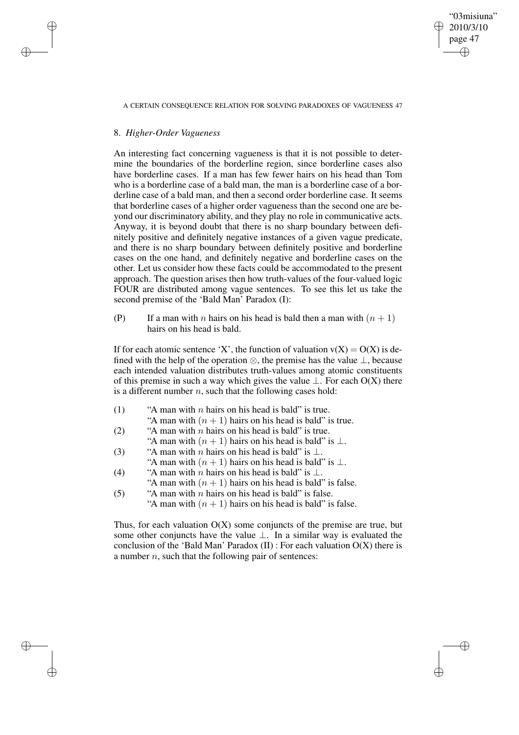A CERTAIN CONSEQUENCE RELATION FOR SOLVING PARADOXES OF VAGUENESS 47

"03misiuna" 2010/3/10 page 47

✐

✐

✐

✐

## 8. *Higher-Order Vagueness*

✐

✐

✐

✐

An interesting fact concerning vagueness is that it is not possible to determine the boundaries of the borderline region, since borderline cases also have borderline cases. If a man has few fewer hairs on his head than Tom who is a borderline case of a bald man, the man is a borderline case of a borderline case of a bald man, and then a second order borderline case. It seems that borderline cases of a higher order vagueness than the second one are beyond our discriminatory ability, and they play no role in communicative acts. Anyway, it is beyond doubt that there is no sharp boundary between definitely positive and definitely negative instances of a given vague predicate, and there is no sharp boundary between definitely positive and borderline cases on the one hand, and definitely negative and borderline cases on the other. Let us consider how these facts could be accommodated to the present approach. The question arises then how truth-values of the four-valued logic FOUR are distributed among vague sentences. To see this let us take the second premise of the 'Bald Man' Paradox (I):

(P) If a man with n hairs on his head is bald then a man with  $(n + 1)$ hairs on his head is bald.

If for each atomic sentence 'X', the function of valuation  $v(X) = O(X)$  is defined with the help of the operation ⊗, the premise has the value ⊥, because each intended valuation distributes truth-values among atomic constituents of this premise in such a way which gives the value  $\bot$ . For each O(X) there is a different number  $n$ , such that the following cases hold:

- (1) "A man with *n* hairs on his head is bald" is true.
	- "A man with  $(n + 1)$  hairs on his head is bald" is true.
- (2) "A man with  $n$  hairs on his head is bald" is true.
- "A man with  $(n + 1)$  hairs on his head is bald" is  $\perp$ .
- (3) "A man with *n* hairs on his head is bald" is  $\perp$ .
- "A man with  $(n + 1)$  hairs on his head is bald" is  $\perp$ .
- (4) "A man with *n* hairs on his head is bald" is  $\perp$ .
- "A man with  $(n + 1)$  hairs on his head is bald" is false. (5) "A man with *n* hairs on his head is bald" is false.

"A man with  $(n + 1)$  hairs on his head is bald" is false.

Thus, for each valuation  $O(X)$  some conjuncts of the premise are true, but some other conjuncts have the value ⊥. In a similar way is evaluated the conclusion of the 'Bald Man' Paradox  $(II)$  : For each valuation  $O(X)$  there is a number  $n$ , such that the following pair of sentences: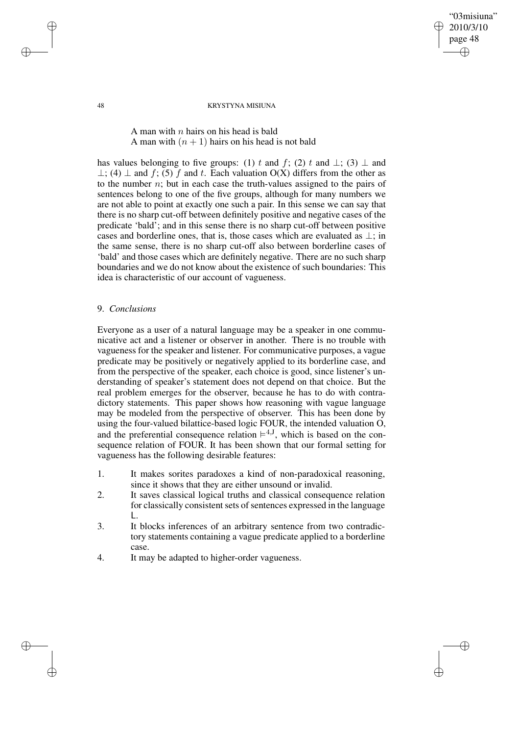48 KRYSTYNA MISIUNA

"03misiuna" 2010/3/10 page 48

✐

✐

✐

✐

# A man with  $n$  hairs on his head is bald A man with  $(n + 1)$  hairs on his head is not bald

has values belonging to five groups: (1) t and f; (2) t and  $\perp$ ; (3)  $\perp$  and  $\perp$ ; (4)  $\perp$  and f; (5) f and t. Each valuation O(X) differs from the other as to the number  $n$ ; but in each case the truth-values assigned to the pairs of sentences belong to one of the five groups, although for many numbers we are not able to point at exactly one such a pair. In this sense we can say that there is no sharp cut-off between definitely positive and negative cases of the predicate 'bald'; and in this sense there is no sharp cut-off between positive cases and borderline ones, that is, those cases which are evaluated as  $\perp$ ; in the same sense, there is no sharp cut-off also between borderline cases of 'bald' and those cases which are definitely negative. There are no such sharp boundaries and we do not know about the existence of such boundaries: This idea is characteristic of our account of vagueness.

## 9. *Conclusions*

Everyone as a user of a natural language may be a speaker in one communicative act and a listener or observer in another. There is no trouble with vagueness for the speaker and listener. For communicative purposes, a vague predicate may be positively or negatively applied to its borderline case, and from the perspective of the speaker, each choice is good, since listener's understanding of speaker's statement does not depend on that choice. But the real problem emerges for the observer, because he has to do with contradictory statements. This paper shows how reasoning with vague language may be modeled from the perspective of observer. This has been done by using the four-valued bilattice-based logic FOUR, the intended valuation O, and the preferential consequence relation  $\models^{4,1}$ , which is based on the consequence relation of FOUR. It has been shown that our formal setting for vagueness has the following desirable features:

- 1. It makes sorites paradoxes a kind of non-paradoxical reasoning, since it shows that they are either unsound or invalid.
- 2. It saves classical logical truths and classical consequence relation for classically consistent sets of sentences expressed in the language L.
- 3. It blocks inferences of an arbitrary sentence from two contradictory statements containing a vague predicate applied to a borderline case.
- 4. It may be adapted to higher-order vagueness.

✐

✐

✐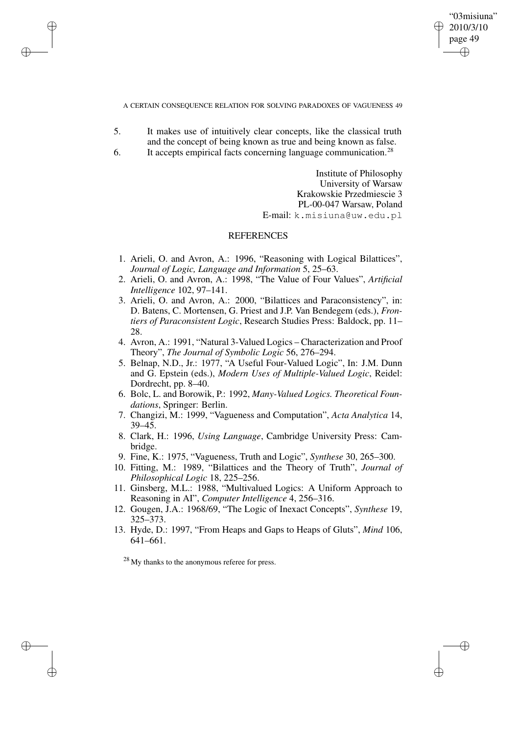"03misiuna" 2010/3/10 page 49 ✐ ✐

✐

✐

### A CERTAIN CONSEQUENCE RELATION FOR SOLVING PARADOXES OF VAGUENESS 49

- 5. It makes use of intuitively clear concepts, like the classical truth and the concept of being known as true and being known as false.
- 6. It accepts empirical facts concerning language communication.<sup>28</sup>

✐

✐

✐

✐

Institute of Philosophy University of Warsaw Krakowskie Przedmiescie 3 PL-00-047 Warsaw, Poland E-mail: k.misiuna@uw.edu.pl

# **REFERENCES**

- 1. Arieli, O. and Avron, A.: 1996, "Reasoning with Logical Bilattices", *Journal of Logic, Language and Information* 5, 25–63.
- 2. Arieli, O. and Avron, A.: 1998, "The Value of Four Values", *Artificial Intelligence* 102, 97–141.
- 3. Arieli, O. and Avron, A.: 2000, "Bilattices and Paraconsistency", in: D. Batens, C. Mortensen, G. Priest and J.P. Van Bendegem (eds.), *Frontiers of Paraconsistent Logic*, Research Studies Press: Baldock, pp. 11– 28.
- 4. Avron, A.: 1991, "Natural 3-Valued Logics Characterization and Proof Theory", *The Journal of Symbolic Logic* 56, 276–294.
- 5. Belnap, N.D., Jr.: 1977, "A Useful Four-Valued Logic", In: J.M. Dunn and G. Epstein (eds.), *Modern Uses of Multiple-Valued Logic*, Reidel: Dordrecht, pp. 8–40.
- 6. Bolc, L. and Borowik, P.: 1992, *Many-Valued Logics. Theoretical Foundations*, Springer: Berlin.
- 7. Changizi, M.: 1999, "Vagueness and Computation", *Acta Analytica* 14, 39–45.
- 8. Clark, H.: 1996, *Using Language*, Cambridge University Press: Cambridge.
- 9. Fine, K.: 1975, "Vagueness, Truth and Logic", *Synthese* 30, 265–300.
- 10. Fitting, M.: 1989, "Bilattices and the Theory of Truth", *Journal of Philosophical Logic* 18, 225–256.
- 11. Ginsberg, M.L.: 1988, "Multivalued Logics: A Uniform Approach to Reasoning in AI", *Computer Intelligence* 4, 256–316.
- 12. Gougen, J.A.: 1968/69, "The Logic of Inexact Concepts", *Synthese* 19, 325–373.
- 13. Hyde, D.: 1997, "From Heaps and Gaps to Heaps of Gluts", *Mind* 106, 641–661.

<sup>28</sup> My thanks to the anonymous referee for press.